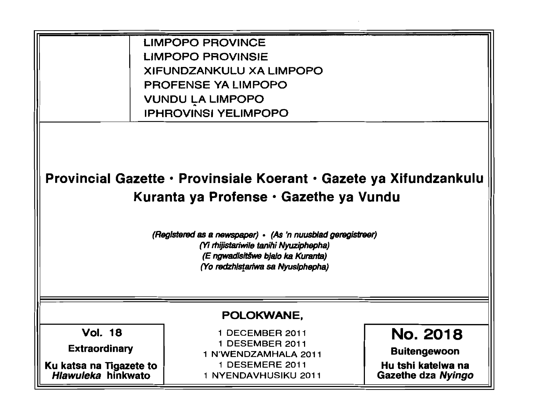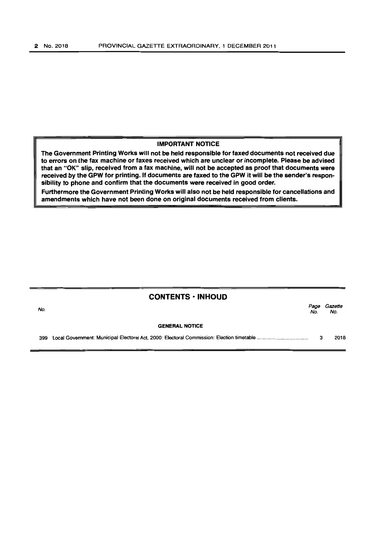## IMPORTANT NOTICE

rhe Government Printing Works will not be held responsible for faxed documents not received due to errors on the fax machine or faxes received which are unclear or incomplete. Please be advised that an "OK" slip, received from a fax machine, will not be accepted as proof that documents were received by the GPW for printing. If documents are faxed to the GPW it will be the sender's responsibility to phone and confirm that the documents were received in good order.

Furthermore the Government Printing Works will also not be held responsible for cancellations and amendments which have not been done on original documents received from clients.

| <b>CONTENTS · INHOUD</b> |                       |             |                |
|--------------------------|-----------------------|-------------|----------------|
| No.                      |                       | Page<br>No. | Gazette<br>No. |
|                          | <b>GENERAL NOTICE</b> |             |                |
|                          |                       | 3           | 2018           |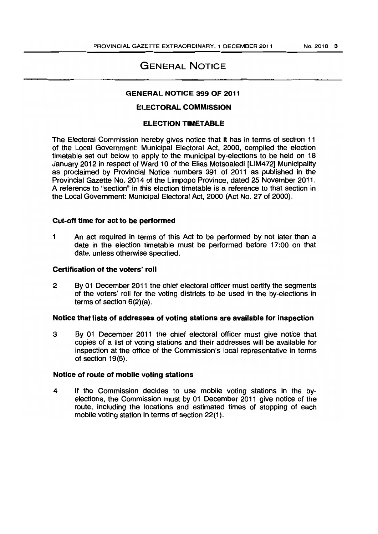# GENERAL NOTICE

#### GENERAL NOTICE 399 OF 2011

# ELECTORAL COMMISSION

# ELECTION TIMETABLE

The Electoral Commission hereby gives notice that it has in terms of section 11 of the Local Government: Municipal Electoral Act, 2000, compiled the election timetable set out below to apply to the municipal by-elections to be held on 18 January 2012 in respect of Ward 10 of the Elias Motsoaledi [LlM472] Municipality as proclaimed by Provincial Notice numbers 391 of 2011 as published in the Provincial Gazette No. 2014 of the Limpopo Province, dated 25 November 2011. A reference to "section" in this election timetable is a reference to that section in the Local Government: Municipal Electoral Act, 2000 (Act No. 27 of 2000).

## Cut-off time for act to be performed

1 An act required in terms of this Act to be performed by not later than a date in the election timetable must be performed before 17:00 on that date, unless otherwise specified.

## Certification of the voters' roll

2 By 01 December 2011 the chief electoral officer must certify the segments of the voters' roll for the voting districts to be used in the by-elections in terms of section 6(2)(a).

## Notice that lists of addresses of voting stations are available for inspection

3 By 01 December 2011 the chief electoral officer must give notice that copies of a list of voting stations and their addresses will be available for inspection at the office of the Commission's local representative in terms of section 19(5).

#### Notice of route of mobile voting stations

4 If the Commission decides to use mobile voting stations in the byelections, the Commission must by 01 December 2011 give notice of the route, including the locations and estimated times of stopping of each mobile voting station in terms of section 22(1).